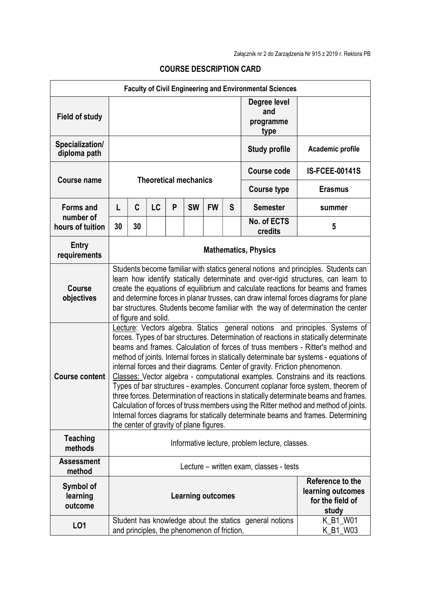| <b>Faculty of Civil Engineering and Environmental Sciences</b> |                                                                                                                                                                           |                      |    |   |                                             |           |                    |                                                         |                                                                                        |  |
|----------------------------------------------------------------|---------------------------------------------------------------------------------------------------------------------------------------------------------------------------|----------------------|----|---|---------------------------------------------|-----------|--------------------|---------------------------------------------------------|----------------------------------------------------------------------------------------|--|
|                                                                |                                                                                                                                                                           |                      |    |   |                                             |           |                    | Degree level<br>and                                     |                                                                                        |  |
| <b>Field of study</b>                                          |                                                                                                                                                                           |                      |    |   |                                             |           |                    | programme                                               |                                                                                        |  |
|                                                                |                                                                                                                                                                           |                      |    |   |                                             |           |                    | type                                                    |                                                                                        |  |
| Specialization/<br>diploma path                                |                                                                                                                                                                           |                      |    |   |                                             |           |                    | <b>Study profile</b>                                    | Academic profile                                                                       |  |
|                                                                |                                                                                                                                                                           |                      |    |   |                                             |           |                    |                                                         |                                                                                        |  |
| <b>Course name</b>                                             | <b>Theoretical mechanics</b>                                                                                                                                              |                      |    |   |                                             |           |                    | <b>Course code</b>                                      | <b>IS-FCEE-00141S</b>                                                                  |  |
|                                                                |                                                                                                                                                                           |                      |    |   |                                             |           | <b>Course type</b> | <b>Erasmus</b>                                          |                                                                                        |  |
| <b>Forms and</b><br>number of<br>hours of tuition              | L                                                                                                                                                                         | C                    | LC | P | <b>SW</b>                                   | <b>FW</b> | S                  | <b>Semester</b>                                         | summer                                                                                 |  |
|                                                                | 30                                                                                                                                                                        | 30                   |    |   |                                             |           |                    | No. of ECTS<br>credits                                  | 5                                                                                      |  |
| <b>Entry</b><br>requirements                                   | <b>Mathematics, Physics</b>                                                                                                                                               |                      |    |   |                                             |           |                    |                                                         |                                                                                        |  |
|                                                                | Students become familiar with statics general notions and principles. Students can                                                                                        |                      |    |   |                                             |           |                    |                                                         |                                                                                        |  |
|                                                                | learn how identify statically determinate and over-rigid structures, can learn to                                                                                         |                      |    |   |                                             |           |                    |                                                         |                                                                                        |  |
| <b>Course</b><br>objectives                                    |                                                                                                                                                                           |                      |    |   |                                             |           |                    |                                                         | create the equations of equilibrium and calculate reactions for beams and frames       |  |
|                                                                | and determine forces in planar trusses, can draw internal forces diagrams for plane<br>bar structures. Students become familiar with the way of determination the center  |                      |    |   |                                             |           |                    |                                                         |                                                                                        |  |
|                                                                |                                                                                                                                                                           | of figure and solid. |    |   |                                             |           |                    |                                                         |                                                                                        |  |
|                                                                | Lecture: Vectors algebra. Statics general notions and principles. Systems of<br>forces. Types of bar structures. Determination of reactions in statically determinate     |                      |    |   |                                             |           |                    |                                                         |                                                                                        |  |
|                                                                |                                                                                                                                                                           |                      |    |   |                                             |           |                    |                                                         | beams and frames. Calculation of forces of truss members - Ritter's method and         |  |
|                                                                |                                                                                                                                                                           |                      |    |   |                                             |           |                    |                                                         | method of joints. Internal forces in statically determinate bar systems - equations of |  |
| <b>Course content</b>                                          | internal forces and their diagrams. Center of gravity. Friction phenomenon.<br>Classes: Vector algebra - computational examples. Constrains and its reactions.            |                      |    |   |                                             |           |                    |                                                         |                                                                                        |  |
|                                                                | Types of bar structures - examples. Concurrent coplanar force system, theorem of                                                                                          |                      |    |   |                                             |           |                    |                                                         |                                                                                        |  |
|                                                                | three forces. Determination of reactions in statically determinate beams and frames.                                                                                      |                      |    |   |                                             |           |                    |                                                         |                                                                                        |  |
|                                                                | Calculation of forces of truss members using the Ritter method and method of joints.<br>Internal forces diagrams for statically determinate beams and frames. Determining |                      |    |   |                                             |           |                    |                                                         |                                                                                        |  |
|                                                                | the center of gravity of plane figures.                                                                                                                                   |                      |    |   |                                             |           |                    |                                                         |                                                                                        |  |
| <b>Teaching</b><br>methods                                     | Informative lecture, problem lecture, classes.                                                                                                                            |                      |    |   |                                             |           |                    |                                                         |                                                                                        |  |
| <b>Assessment</b><br>method                                    | Lecture – written exam, classes - tests                                                                                                                                   |                      |    |   |                                             |           |                    |                                                         |                                                                                        |  |
| Symbol of                                                      |                                                                                                                                                                           |                      |    |   |                                             |           |                    |                                                         | Reference to the                                                                       |  |
| learning                                                       |                                                                                                                                                                           |                      |    |   | <b>Learning outcomes</b>                    |           |                    |                                                         | learning outcomes<br>for the field of                                                  |  |
| outcome                                                        |                                                                                                                                                                           |                      |    |   |                                             |           |                    |                                                         | study                                                                                  |  |
| L <sub>01</sub>                                                |                                                                                                                                                                           |                      |    |   |                                             |           |                    | Student has knowledge about the statics general notions | K_B1_W01                                                                               |  |
|                                                                |                                                                                                                                                                           |                      |    |   | and principles, the phenomenon of friction, |           |                    |                                                         | K_B1_W03                                                                               |  |

## COURSE DESCRIPTION CARD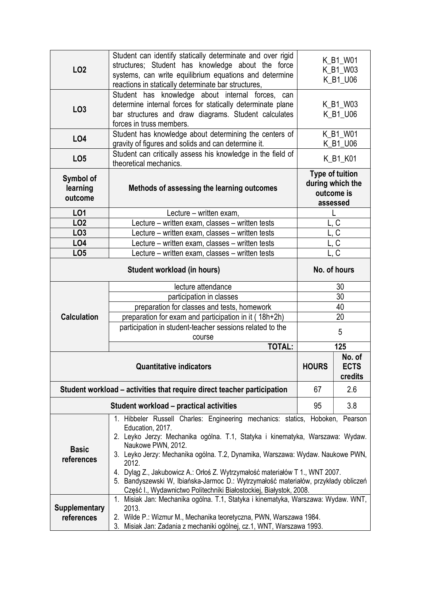| LO <sub>2</sub>                  | Student can identify statically determinate and over rigid<br>structures; Student has knowledge about the force<br>systems, can write equilibrium equations and determine<br>reactions in statically determinate bar structures,                                                                                                                                                                                                                                                                                                                | K_B1_W01<br>K_B1_W03<br>K_B1_U06                                     |     |  |  |  |
|----------------------------------|-------------------------------------------------------------------------------------------------------------------------------------------------------------------------------------------------------------------------------------------------------------------------------------------------------------------------------------------------------------------------------------------------------------------------------------------------------------------------------------------------------------------------------------------------|----------------------------------------------------------------------|-----|--|--|--|
| LO <sub>3</sub>                  | Student has knowledge about internal forces, can<br>determine internal forces for statically determinate plane<br>bar structures and draw diagrams. Student calculates<br>forces in truss members.                                                                                                                                                                                                                                                                                                                                              | K_B1_W03<br>K_B1_U06                                                 |     |  |  |  |
| L04                              | Student has knowledge about determining the centers of<br>gravity of figures and solids and can determine it.                                                                                                                                                                                                                                                                                                                                                                                                                                   | K_B1_W01<br>K_B1_U06                                                 |     |  |  |  |
| LO <sub>5</sub>                  | Student can critically assess his knowledge in the field of<br>K_B1_K01<br>theoretical mechanics.                                                                                                                                                                                                                                                                                                                                                                                                                                               |                                                                      |     |  |  |  |
| Symbol of<br>learning<br>outcome | Methods of assessing the learning outcomes                                                                                                                                                                                                                                                                                                                                                                                                                                                                                                      | <b>Type of tuition</b><br>during which the<br>outcome is<br>assessed |     |  |  |  |
| LO1                              | Lecture - written exam,                                                                                                                                                                                                                                                                                                                                                                                                                                                                                                                         |                                                                      |     |  |  |  |
| LO <sub>2</sub>                  | Lecture – written exam, classes – written tests                                                                                                                                                                                                                                                                                                                                                                                                                                                                                                 | $\overline{C}$                                                       |     |  |  |  |
| LO <sub>3</sub>                  | Lecture - written exam, classes - written tests                                                                                                                                                                                                                                                                                                                                                                                                                                                                                                 | C                                                                    |     |  |  |  |
| LO <sub>4</sub>                  | Lecture - written exam, classes - written tests                                                                                                                                                                                                                                                                                                                                                                                                                                                                                                 | $\mathsf C$                                                          |     |  |  |  |
| LO <sub>5</sub>                  | Lecture – written exam, classes – written tests                                                                                                                                                                                                                                                                                                                                                                                                                                                                                                 | L, $\overline{C}$                                                    |     |  |  |  |
|                                  | No. of hours                                                                                                                                                                                                                                                                                                                                                                                                                                                                                                                                    |                                                                      |     |  |  |  |
|                                  | lecture attendance                                                                                                                                                                                                                                                                                                                                                                                                                                                                                                                              | 30                                                                   |     |  |  |  |
|                                  | participation in classes                                                                                                                                                                                                                                                                                                                                                                                                                                                                                                                        | 30                                                                   |     |  |  |  |
|                                  | preparation for classes and tests, homework                                                                                                                                                                                                                                                                                                                                                                                                                                                                                                     | 40                                                                   |     |  |  |  |
| <b>Calculation</b>               | preparation for exam and participation in it (18h+2h)                                                                                                                                                                                                                                                                                                                                                                                                                                                                                           | 20                                                                   |     |  |  |  |
|                                  | participation in student-teacher sessions related to the<br>course                                                                                                                                                                                                                                                                                                                                                                                                                                                                              | 5                                                                    |     |  |  |  |
|                                  | 125                                                                                                                                                                                                                                                                                                                                                                                                                                                                                                                                             |                                                                      |     |  |  |  |
|                                  | <b>HOURS</b>                                                                                                                                                                                                                                                                                                                                                                                                                                                                                                                                    | No. of<br><b>ECTS</b><br>credits                                     |     |  |  |  |
|                                  | Student workload – activities that require direct teacher participation                                                                                                                                                                                                                                                                                                                                                                                                                                                                         | 67                                                                   | 2.6 |  |  |  |
|                                  | Student workload - practical activities                                                                                                                                                                                                                                                                                                                                                                                                                                                                                                         | 95                                                                   | 3.8 |  |  |  |
| <b>Basic</b><br>references       | 1. Hibbeler Russell Charles: Engineering mechanics: statics, Hoboken, Pearson<br>Education, 2017.<br>2. Leyko Jerzy: Mechanika ogólna. T.1, Statyka i kinematyka, Warszawa: Wydaw.<br>Naukowe PWN, 2012.<br>3. Leyko Jerzy: Mechanika ogólna. T.2, Dynamika, Warszawa: Wydaw. Naukowe PWN,<br>2012.<br>4. Dyląg Z., Jakubowicz A.: Orłoś Z. Wytrzymałość materiałów T 1., WNT 2007.<br>5. Bandyszewski W, Ibiańska-Jarmoc D.: Wytrzymałość materiałów, przykłady obliczeń<br>Część I., Wydawnictwo Politechniki Białostockiej, Białystok, 2008. |                                                                      |     |  |  |  |
| <b>Supplementary</b>             | 1. Misiak Jan: Mechanika ogólna. T.1, Statyka i kinematyka, Warszawa: Wydaw. WNT,<br>2013.                                                                                                                                                                                                                                                                                                                                                                                                                                                      |                                                                      |     |  |  |  |
| references                       | 2. Wilde P.: Wizmur M., Mechanika teoretyczna, PWN, Warszawa 1984.<br>3. Misiak Jan: Zadania z mechaniki ogólnej, cz.1, WNT, Warszawa 1993.                                                                                                                                                                                                                                                                                                                                                                                                     |                                                                      |     |  |  |  |